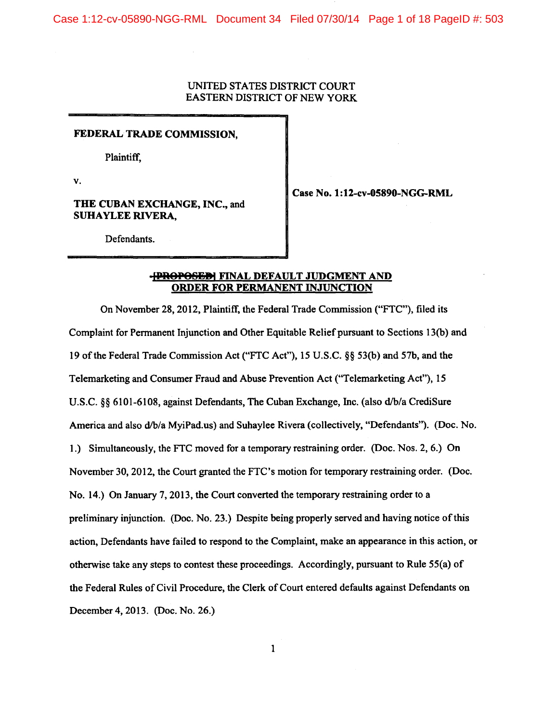Case 1:12-cv-05890-NGG-RML Document 34 Filed 07/30/14 Page 1 of 18 PageID #: 503

### UNITED STATES DISTRICT COURT EASTERN DISTRICT OF NEW YORK

#### FEDERAL TRADE COMMISSION,

Plaintiff,

v.

### THE CUBAN EXCHANGE, INC., and SUHAYLEE RIVERA,

Case No. 1:12-cv-05890-NGG-RML

Defendants.

# **-FROPOSED| FINAL DEFAULT JUDGMENT AND** ORDER FOR PERMANENT INJUNCTION

On November 28, 2012, Plaintiff, the Federal Trade Commission ("FTC"), filed its Complaint for Permanent Injunction and Other Equitable Relief pursuant to Sections 13(b) and 19 of the Federal Trade Commission Act ("FTC Act"), 15 U.S.C. §§ 53(b) and 57b, and the Telemarketing and Consumer Fraud and Abuse Prevention Act ("Telemarketing Act"), 15 U.S.C. §§ 6101-6108, against Defendants, The Cuban Exchange, Inc. (also d/b/a CrediSure America and also d/b/a MyiPad.us) and Suhaylee Rivera (collectively, "Defendants"). (Doc. No. 1.) Simultaneously, the FTC moved for a temporary restraining order. (Doc. Nos. 2, 6.) On November 30, 2012, the Court granted the FTC's motion for temporary restraining order. (Doc. No. 14.) On January 7, 2013, the Court converted the temporary restraining order to a preliminary injunction. (Doc. No. 23.) Despite being properly served and having notice of this action, Defendants have failed to respond to the Complaint, make an appearance in this action, or otherwise take any steps to contest these proceedings. Accordingly, pursuant to Rule 55(a) of the Federal Rules of Civil Procedure, the Clerk of Court entered defaults against Defendants on December 4, 2013. (Doc. No. 26.)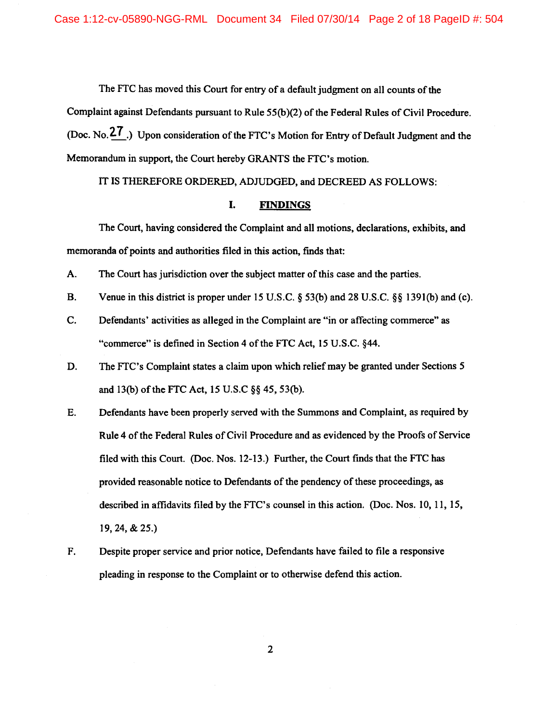The FTC has moved this Court for entry of a default judgment on all counts of the

Complaint against Defendants pursuant to Rule 55(b)(2) of the Federal Rules of Civil Procedure. (Doc. No.<sup>27</sup>) Upon consideration of the FTC's Motion for Entry of Default Judgment and the Memorandum in support, the Court hereby GRANTS the FTC's motion.

IT IS THEREFORE ORDERED, ADJUDGED, and DECREED AS FOLLOWS:

#### I. FINDINGS

The Court, having considered the Complaint and all motions, declarations, exhibits, and memoranda of points and authorities filed in this action, finds that:

- A. The Court has jurisdiction over the subject matter of this case and the parties.
- B. Venue in this district is proper under 15 U.S.C. § 53(b) and 28 U.S.C. §§ l39l(b) and (c).
- C. Defendants' activities as alleged in the Complaint are "in or affecting commerce" as "commerce" is defined in Section 4 of the FTC Act, 15 U.S.C. §44.
- D. The FTC's Complaint states a claim upon which relief may be granted under Sections *5*  and  $13(b)$  of the FTC Act,  $15$  U.S.C  $\S$ § 45, 53(b).
- E. Defendants have been properly served with the Summons and Complaint, as required by Rule 4 of the Federal Rules of Civil Procedure and as evidenced by the Proofs of Service filed with this Court. (Doc. Nos. 12-13.) Further, the Court fmds that the FTC has provided reasonable notice to Defendants of the pendency of these proceedings, as described in affidavits filed by the FTC's counsel in this action. (Doc. Nos. 10, 11, 15, 19, 24, & 25.)
- F. Despite proper service and prior notice, Defendants have failed to file a responsive pleading in response to the Complaint or to otherwise defend this action.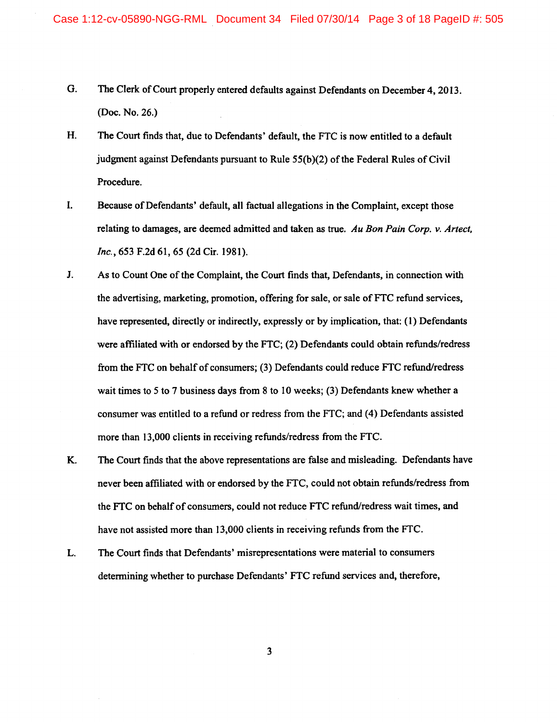- G. The Clerk of Court properly entered defaults against Defendants on December 4, 2013. (Doc. No. 26.)
- H. The Court finds that, due to Defendants' default, the FTC is now entitled to a default judgment against Defendants pursuant to Rule 55(b)(2) of the Federal Rules of Civil Procedure.
- I. Because of Defendants' default, all factual allegations in the Complaint, except those relating to damages, are deemed admitted and taken as true. *Au Bon Pain Corp. v. Artect, Inc.,* 653 F.2d 61, *65* (2d Cir. 1981).
- J. As to Count One of the Complaint, the Court finds that, Defendants, in connection with the advertising, marketing, promotion, offering for sale, or sale of FTC refund services, have represented, directly or indirectly, expressly or by implication, that: (1) Defendants were affiliated with or endorsed by the FTC; (2) Defendants could obtain refunds/redress from the FTC on behalf of consumers; (3) Defendants could reduce FTC refund/redress wait times to *5* to 7 business days from 8 to 10 weeks; (3) Defendants knew whether a consumer was entitled to a refund or redress from the FTC; and (4) Defendants assisted more than 13,000 clients in receiving refunds/redress from the FTC.
- K. The Court finds that the above representations are false and misleading. Defendants have never been affiliated with or endorsed by the FTC, could not obtain refunds/redress from the FTC on behalf of consumers, could not reduce FTC refund/redress wait times, and have not assisted more than 13,000 clients in receiving refunds from the FTC.
- L. The Court finds that Defendants' misrepresentations were material to consumers determining whether to purchase Defendants' FTC refund services and, therefore,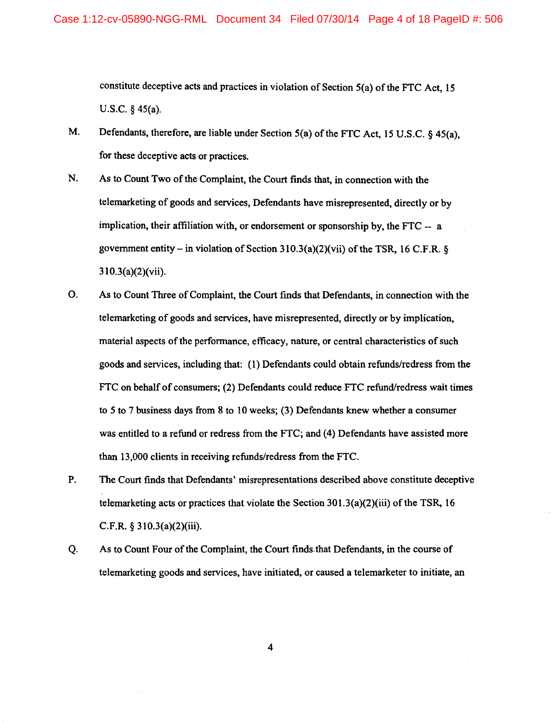constitute deceptive acts and practices in violation of Section  $5(a)$  of the FTC Act, 15 U.S.C. § 45(a).

- M. Defendants, therefore, are liable under Section 5(a) of the FTC Act, 15 U.S.C. § 45(a), for these deceptive acts or practices.
- N. As to Count Two of the Complaint, the Court finds that, in connection with the telemarketing of goods and services, Defendants have misrepresented, directly or by implication, their affiliation with, or endorsement or sponsorship by, the FTC -- a government entity – in violation of Section  $310.3(a)(2)(vii)$  of the TSR, 16 C.F.R. § 310.3(a)(2)(vii).
- 0. As to Count Three of Complaint, the Court fmds that Defendants, in connection with the telemarketing of goods and services, have misrepresented, directly or by implication, material aspects of the performance, efficacy, nature, or central characteristics of such goods and services, including that: ( 1) Defendants could obtain refunds/redress from the FTC on behalf of consumers; (2) Defendants could reduce FTC refund/redress wait times to 5 to 7 business days from 8 to 10 weeks; (3) Defendants knew whether a consumer was entitled to a refund or redress from the FTC; and (4) Defendants have assisted more than 13,000 clients in receiving refunds/redress from the FTC.
- P. The Court finds that Defendants' misrepresentations described above constitute deceptive telemarketing acts or practices that violate the Section  $301.3(a)(2)(iii)$  of the TSR, 16 C.F.R. § 310.3(a)(2)(iii).
- Q. As to Count Four of the Complaint, the Court finds that Defendants, in the course of telemarketing goods and services, have initiated, or caused a telemarketer to initiate, an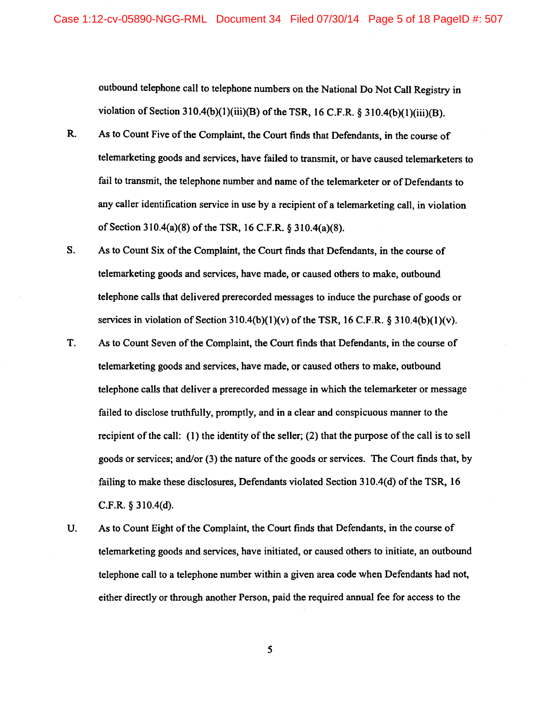outbound telephone call to telephone numbers on the National Do Not Call Registry in violation of Section 310.4(b)(1)(iii)(B) of the TSR, 16 C.F.R.  $\S$  310.4(b)(1)(iii)(B).

- R. As to Count Five of the Complaint, the Court finds that Defendants, in the course of telemarketing goods and services, have failed to transmit, or have caused telemarketers to fail to transmit, the telephone number and name of the telemarketer or of Defendants to any caller identification service in use by a recipient of a telemarketing call, in violation of Section 310.4(a)(8) of the TSR, 16 C.F.R. § 310.4(a)(8).
- S. As to Count Six of the Complaint, the Court finds that Defendants, in the course of telemarketing goods and services, have made, or caused others to make, outbound telephone calls that delivered prerecorded messages to induce the purchase of goods or services in violation of Section  $310.4(b)(1)(v)$  of the TSR, 16 C.F.R. § 310.4(b)(1)(v).
- T. As to Count Seven of the Complaint, the Court finds that Defendants, in the course of telemarketing goods and services, have made, or caused others to make, outbound telephone calls that deliver a prerecorded message in which the telemarketer or message failed to disclose truthfully, promptly, and in a clear and conspicuous manner to the recipient of the call: ( 1) the identity of the seller; (2) that the purpose of the call is to sell goods or services; and/or (3) the nature of the goods or services. The Court finds that, by failing to make these disclosures, Defendants violated Section 310.4(d) of the TSR, 16 C.F.R. § 310.4(d).
- U. As to Count Eight of the Complaint, the Court finds that Defendants, in the course of telemarketing goods and services, have initiated, or caused others to initiate, an outbound telephone call to a telephone number within a given area code when Defendants had not, either directly or through another Person, paid the required annual fee for access to the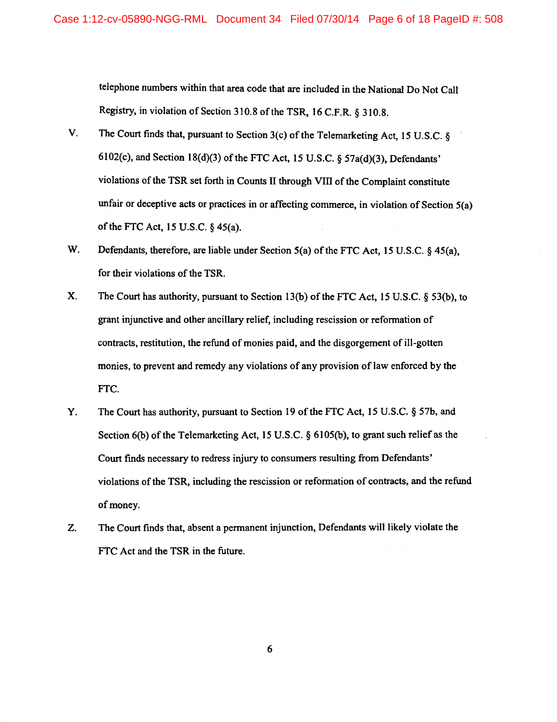telephone numbers within that area code that are included in the National Do Not Call Registry, in violation of Section 310.8 of the TSR, 16 C.F.R. § 310.8.

- V. The Court finds that, pursuant to Section 3(c) of the Telemarketing Act, 15 U.S.C. § 6102(c), and Section 18(d)(3) of the FTC Act, 15 U.S.C. §  $57a(d)(3)$ , Defendants' violations of the TSR set forth in Counts II through VIII of the Complaint constitute unfair or deceptive acts or practices in or affecting commerce, in violation of Section 5(a) of the FTC Act, 15 U.S.C.  $\S$  45(a).
- W. Defendants, therefore, are liable under Section 5(a) of the FTC Act, 15 U.S.C. § 45(a), for their violations of the TSR.
- X. The Court has authority, pursuant to Section 13(b) of the FTC Act, 15 U.S.C. § 53(b), to grant injunctive and other ancillary relief, including rescission or reformation of contracts, restitution, the refund of monies paid, and the disgorgement ofill-gotten monies, to prevent and remedy any violations of any provision of law enforced by the FTC.
- Y. The Court has authority, pursuant to Section 19 of the FTC Act, 15 U.S.C. § 57b, and Section 6(b) of the Telemarketing Act, 15 U.S.C. § 6105(b), to grant such relief as the Court finds necessary to redress injury to consumers resulting from Defendants' violations of the TSR, including the rescission or reformation of contracts, and the refund of money.
- Z. The Court finds that, absent a permanent injunction, Defendants will likely violate the FTC Act and the TSR in the future.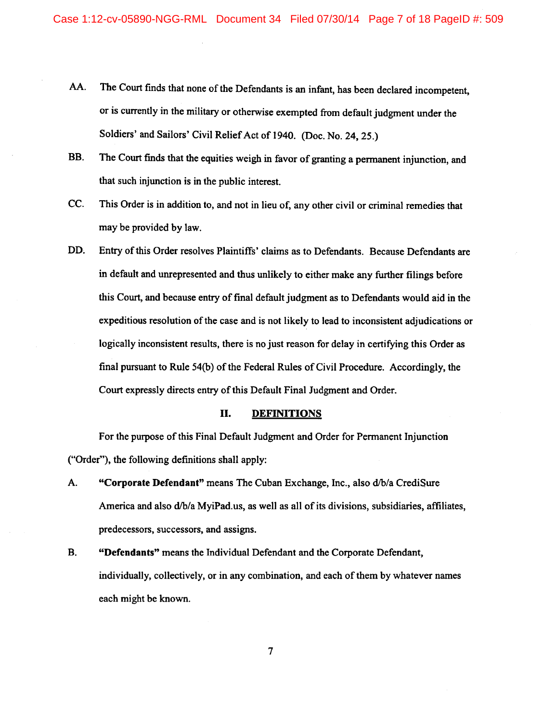- AA. The Court finds that none of the Defendants is an infant, has been declared incompetent, or is currently in the military or otherwise exempted from default judgment under the Soldiers' and Sailors' Civil Relief Act of 1940. (Doc. No. 24, 25.)
- BB. The Court fmds that the equities weigh in favor of granting a permanent injunction, and that such injunction is in the public interest.
- CC. This Order is in addition to, and not in lieu of, any other civil or criminal remedies that may be provided by law.
- DD. Entry of this Order resolves Plaintiffs' claims as to Defendants. Because Defendants are in default and unrepresented and thus unlikely to either make any further filings before this Court, and because entry of final default judgment as to Defendants would aid in the expeditious resolution of the case and is not likely to lead to inconsistent adjudications or logically inconsistent results, there is no just reason for delay in certifying this Order as final pursuant to Rule  $54(b)$  of the Federal Rules of Civil Procedure. Accordingly, the Court expressly directs entry of this Default Final Judgment and Order.

# II. **DEFINITIONS**

For the purpose of this Final Default Judgment and Order for Permanent Injunction ("Order"), the following definitions shall apply:

- A. **"Corporate Defendant"** means The Cuban Exchange, Inc., also d/b/a CrediSure America and also d/b/a MyiPad.us, as well as all of its divisions, subsidiaries, affiliates, predecessors, successors, and assigns.
- **B. "Defendants"** means the Individual Defendant and the Corporate Defendant, individually, collectively, or in any combination, and each of them by whatever names each might be known.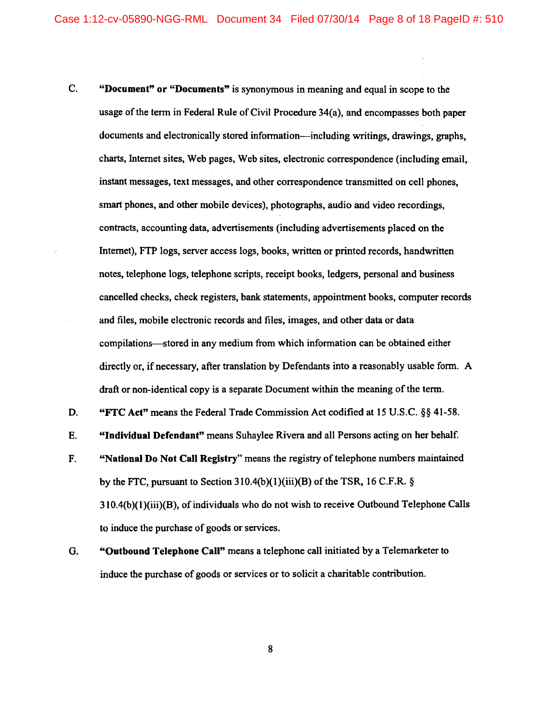- C. "Document" or "Documents" is synonymous in meaning and equal in scope to the usage of the term in Federal Rule of Civil Procedure 34(a), and encompasses both paper documents and electronically stored information-including writings, drawings, graphs, charts, Internet sites, Web pages, Web sites, electronic correspondence (including email, instant messages, text messages, and other correspondence transmitted on cell phones, smart phones, and other mobile devices), photographs, audio and video recordings, contracts, accounting data, advertisements (including advertisements placed on the Internet), FTP logs, server access logs, books, written or printed records, handwritten notes, telephone logs, telephone scripts, receipt books, ledgers, personal and business cancelled checks, check registers, bank statements, appointment books, computer records and files, mobile electronic records and files, images, and other data or data compilations-stored in any medium from which information can be obtained either directly or, if necessary, after translation by Defendants into a reasonably usable form. A draft or non-identical copy is a separate Document within the meaning of the term.
- D. "FTC Act" means the Federal Trade Commission Act codified at 15 U.S.C. §§ 41-58.
- E. "Individual Defendant" means Suhaylee Rivera and all Persons acting on her behalf.
- F. "National Do Not Call Registry" means the registry of telephone numbers maintained by the FTC, pursuant to Section  $310.4(b)(1)(iii)(B)$  of the TSR, 16 C.F.R. § 310.4(b)(1)(iii)(B), of individuals who do not wish to receive Outbound Telephone Calls to induce the purchase of goods or services.
- G. "Outbound Telephone Call" means a telephone call initiated by a Telemarketer to induce the purchase of goods or services or to solicit a charitable contribution.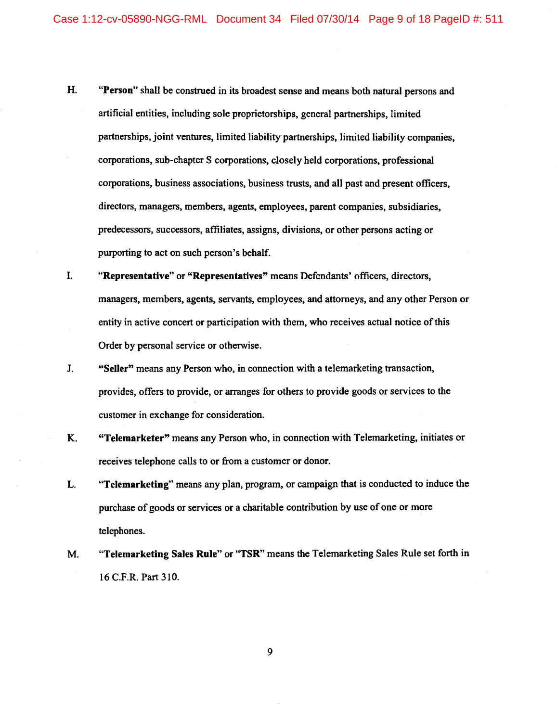- H. "Person" shall be construed in its broadest sense and means both natural persons and artificial entities, including sole proprietorships, general partnerships, limited partnerships, joint ventures, limited liability partnerships, limited liability companies, corporations, sub-chapter S corporations, closely held corporations, professional corporations, business associations, business trusts, and all past and present officers, directors, managers, members, agents, employees, parent companies, subsidiaries, predecessors, successors, affiliates, assigns, divisions, or other persons acting or purporting to act on such person's behalf.
- I. "Representative" or "Representatives" means Defendants' officers, directors, managers, members, agents, servants, employees, and attorneys, and any other Person or entity in active concert or participation with them, who receives actual notice of this Order by personal service or otherwise.
- J. "Seller" means any Person who, in connection with a telemarketing transaction, provides, offers to provide, or arranges for others to provide goods or services to the customer in exchange for consideration.
- K. "Telemarketer" means any Person who, in connection with Telemarketing, initiates or receives telephone calls to or from a customer or donor.
- L. "Telemarketing" means any plan, program, or campaign that is conducted to induce the purchase of goods or services or a charitable contribution by use of one or more telephones.
- M. "Telemarketing Sales Rule" or "TSR" means the Telemarketing Sales Rule set forth in 16 C.F.R. Part 310.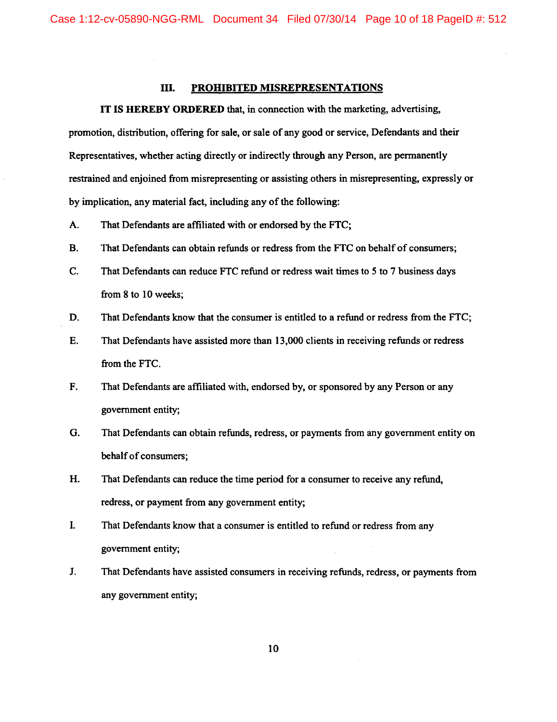## ill. PROHIBITED MISREPRESENTATIONS

IT IS HEREBY ORDERED that, in connection with the marketing, advertising, promotion, distribution, offering for sale, or sale of any good or service, Defendants and their Representatives, whether acting directly or indirectly through any Person, are permanently restrained and enjoined from misrepresenting or assisting others in misrepresenting, expressly or by implication, any material fact, including any of the following:

- A. That Defendants are affiliated with or endorsed by the FTC;
- B. That Defendants can obtain refunds or redress from the FTC on behalf of consumers;
- C. That Defendants can reduce FTC refund or redress wait times to 5 to 7 business days from  $8$  to  $10$  weeks;
- D. That Defendants know that the consumer is entitled to a refund or redress from the FTC;
- E. That Defendants have assisted more than 13,000 clients in receiving refunds or redress from the FTC.
- F. That Defendants are affiliated with, endorsed by, or sponsored by any Person or any government entity;
- G. That Defendants can obtain refunds, redress, or payments from any government entity on behalf of consumers;
- H. That Defendants can reduce the time period for a consumer to receive any refund, redress, or payment from any government entity;
- I. That Defendants know that a consumer is entitled to refund or redress from any government entity;
- J. That Defendants have assisted consumers in receiving refunds, redress, or payments from any government entity;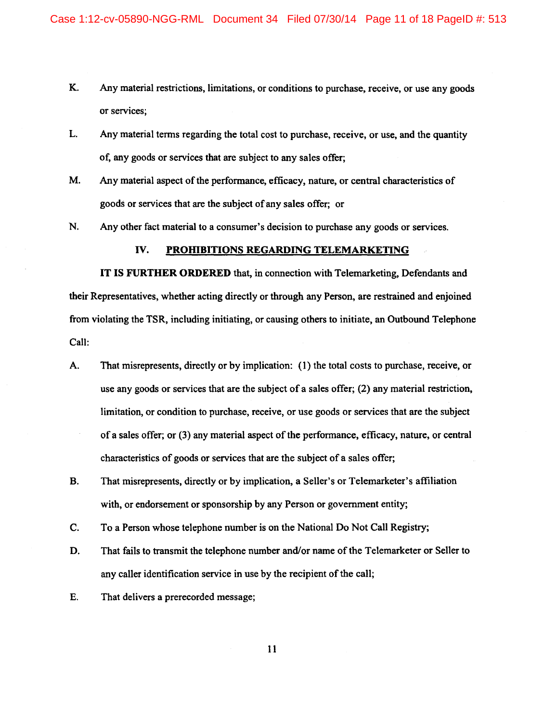- K. Any material restrictions, limitations, or conditions to purchase, receive, or use any goods or services;
- L. Any material terms regarding the total cost to purchase, receive, or use, and the quantity of, any goods or services that are subject to any sales offer;
- M. Any material aspect of the performance, efficacy, nature, or central characteristics of goods or services that are the subject of any sales offer; or
- N. Any other fact material to a consumer's decision to purchase any goods or services.

### IV. PROHIBITIONS REGARDING TELEMARKETING

IT IS FURTHER ORDERED that, in connection with Telemarketing, Defendants and their Representatives, whether acting directly or through any Person, are restrained and enjoined from violating the TSR, including initiating, or causing others to initiate, an Outbound Telephone Call:

- A. That misrepresents, directly or by implication: ( 1) the total costs to purchase, receive, or use any goods or services that are the subject of a sales offer; (2) any material restriction, limitation, or condition to purchase, receive, or use goods or services that are the subject of a sales offer; or (3) any material aspect of the performance, efficacy, nature, or central characteristics of goods or services that are the subject of a sales offer;
- B. That misrepresents, directly or by implication, a Seller's or Telemarketer's affiliation with, or endorsement or sponsorship by any Person or government entity;
- C. To a Person whose telephone number is on the National Do Not Call Registry;
- D. That fails to transmit the telephone number and/or name of the Telemarketer or Seller to any caller identification service in use by the recipient of the call;
- E. That delivers a prerecorded message;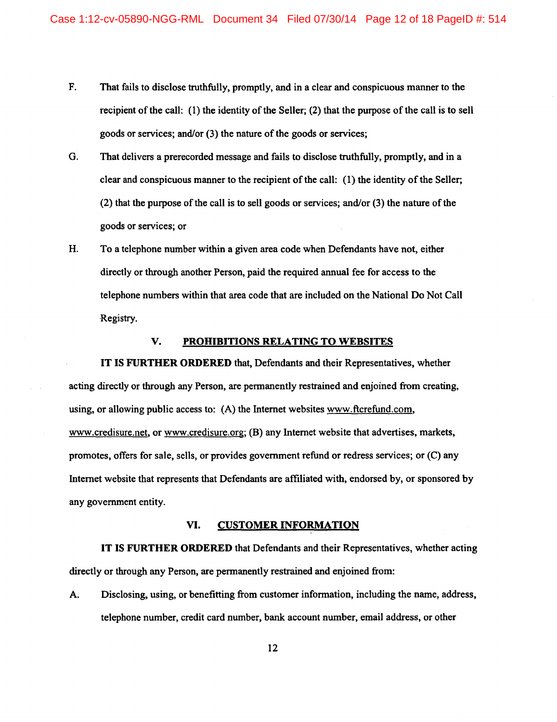- F. That fails to disclose truthfully, promptly, and in a clear and conspicuous manner to the recipient of the call: (1) the identity of the Seller; {2) that the purpose of the call is to sell goods or services; and/or (3) the nature of the goods or services;
- G. That delivers a prerecorded message and fails to disclose truthfully, promptly, and in a clear and conspicuous manner to the recipient of the call: ( 1) the identity of the Seller; (2) that the purpose of the call is to sell goods or services; and/or (3) the nature of the goods or services; or
- H. To a telephone number within a given area code when Defendants have not, either directly or through another Person, paid the required annual fee for access to the telephone numbers within that area code that are included on the National Do Not Call Registry.

### V. PROHIBITIONS RELATING TO WEBSITES

IT IS FURTHER ORDERED that, Defendants and their Representatives, whether acting directly or through any Person, are permanently restrained and enjoined from creating, using, or allowing public access to: (A) the Internet websites www.ftcrefund.com, www.credisure.net, or www.credisure.org; (B) any Internet website that advertises, markets, promotes, offers for sale, sells, or provides government refund or redress services; or (C) any Internet website that represents that Defendants are affiliated with, endorsed by, or sponsored by any government entity.

#### VI. CUSTOMER INFORMATION

IT IS FURTHER ORDERED that Defendants and their Representatives, whether acting directly or through any Person, are permanently restrained and enjoined from:

A. Disclosing, using, or benefitting from customer information, including the name, address, telephone number, credit card number, bank account number, email address, or other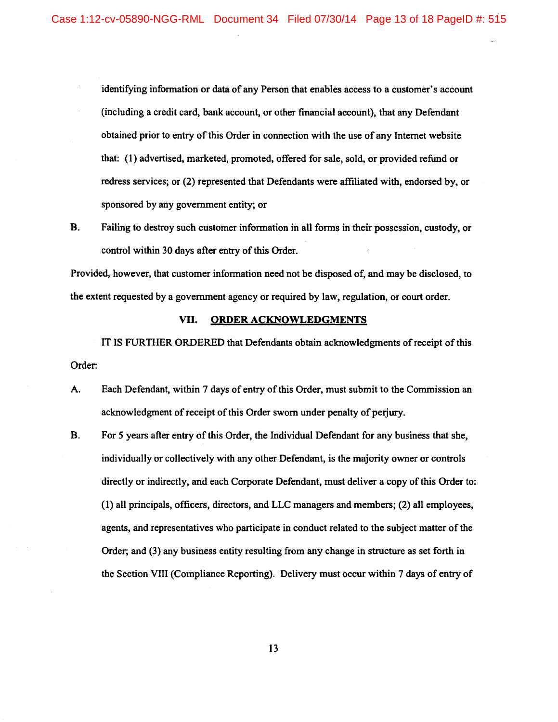identifying information or data of any Person that enables access to a customer's account (including a credit card, bank account, or other financial account), that any Defendant obtained prior to entry of this Order in connection with the use of any Internet website that: ( 1) advertised, marketed, promoted, offered for sale, sold, or provided refund or redress services; or (2) represented that Defendants were affiliated with, endorsed by, or sponsored by any government entity; or

B. Failing to destroy such customer information in all forms in their possession, custody, or control within 30 days after entry of this Order.

Provided, however, that customer information need not be disposed of, and may be disclosed, to the extent requested by a government agency or required by law, regulation, or court order.

#### VII. **ORDER ACKNOWLEDGMENTS**

IT IS FURTHER ORDERED that Defendants obtain acknowledgments of receipt of this Order:

- A. Each Defendant, within 7 days of entry of this Order, must submit to the Commission an acknowledgment of receipt of this Order sworn under penalty of perjury.
- B. For *5* years after entry of this Order, the Individual Defendant for any business that she, individually or collectively with any other Defendant, is the majority owner or controls directly or indirectly, and each Corporate Defendant, must deliver a copy of this Order to: (1) all principals, officers, directors, and LLC managers and members; (2) all employees, agents, and representatives who participate in conduct related to the subject matter of the Order; and (3) any business entity resulting from any change in structure as set forth in the Section VIII (Compliance Reporting). Delivery must occur within 7 days of entry of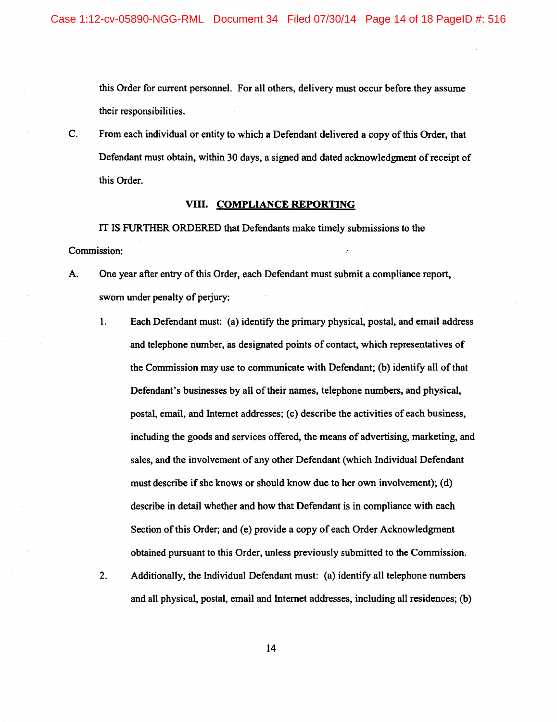this Order for current personnel. For all others, delivery must occur before they assume their responsibilities.

C. From each individual or entity to which a Defendant delivered a copy of this Order, that Defendant must obtain, within 30 days, a signed and dated acknowledgment of receipt of this Order.

### VIII. **COMPLIANCE REPORTING**

IT IS FURTHER ORDERED that Defendants make timely submissions to the Commission:

- A. One year after entry of this Order, each Defendant must submit a compliance report, sworn under penalty of perjury:
	- 1. Each Defendant must: (a) identify the primary physical, postal, and email address and telephone number, as designated points of contact, which representatives of the Commission may use to communicate with Defendant; (b) identify all ofthat Defendant's businesses by all of their names, telephone numbers, and physical, postal, email, and Internet addresses; (c) describe the activities of each business, including the goods and services offered, the means of advertising, marketing, and sales, and the involvement of any other Defendant (which Individual Defendant must describe if she knows or should know due to her own involvement); (d) describe in detail whether and how that Defendant is in compliance with each Section of this Order; and (e) provide a copy of each Order Acknowledgment obtained pursuant to this Order, unless previously submitted to the Commission.
	- 2. Additionally, the Individual Defendant must: (a) identify all telephone numbers and all physical, postal, email and Internet addresses, including all residences; (b)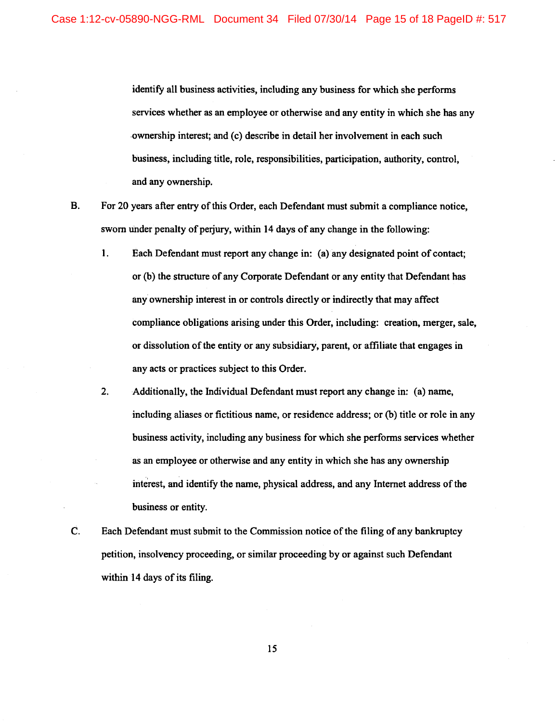identify all business activities, including any business for which she performs services whether as an employee or otherwise and any entity in which she has any -ownership interest; and (c) describe in detail her involvement in each such business, including title, role, responsibilities, participation, authority, control, and any ownership.

- B. For 20 years after entry of this Order, each Defendant must submit a compliance notice, sworn under penalty of perjury, within 14 days of any change in the following:
	- 1. Each Defendant must report any change in: (a) any designated point of contact; or (b) the structure of any Corporate Defendant or any entity that Defendant has any ownership interest in or controls directly or indirectly that may affect compliance obligations arising under this Order, including: creation, merger, sale, or dissolution of the entity or any subsidiary, parent, or affiliate that engages in any acts or practices subject to this Order.
	- 2. Additionally, the Individual Defendant must report any change in: (a) name, including aliases or fictitious name, or residence address; or (b) title or role in any business activity, including any business for which she performs services whether as an employee or otherwise and any entity in which she has any ownership interest, and identify the name, physical address, and any Internet address of the business or entity.
- C. Each Defendant must submit to the Commission notice of the filing of any bankruptcy petition, insolvency proceeding, or similar proceeding by or against such Defendant within 14 days of its filing.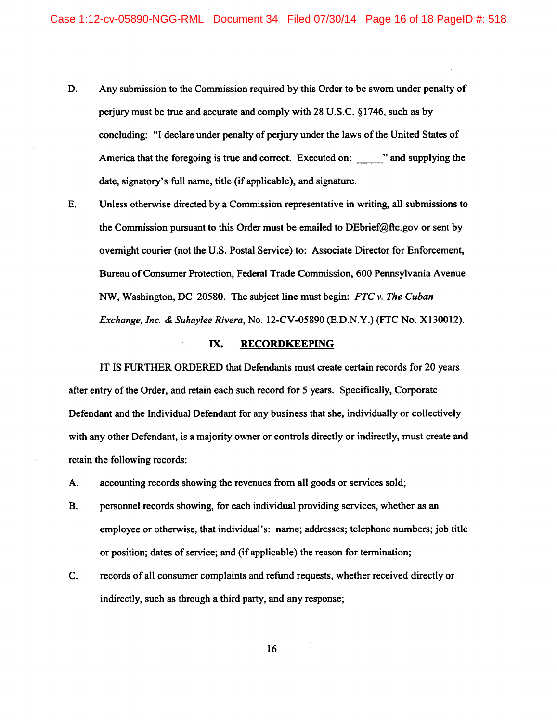- D. Any submission to the Commission required by this Order to be sworn under penalty of perjury must be true and accurate and comply with 28 U.S.C. § 1746, such as by concluding: "I declare under penalty of perjury under the laws of the United States of America that the foregoing is true and correct. Executed on: " and supplying the date, signatory's full name, title (if applicable), and signature.
- E. Unless otherwise directed by a Commission representative in writing, all submissions to the Commission pursuant to this Order must be emailed to DEbrief@ftc.gov or sent by overnight courier (not the U.S. Postal Service) to: Associate Director for Enforcement, Bureau of Consumer Protection, Federal Trade Commission, 600 Pennsylvania Avenue NW, Washington, DC 20580. The subject line must begin: *FTC v. The Cuban Exchange, Inc.* & *Suhaylee Rivera,* No. 12-CV-05890 (E.D.N.Y.) (FTC No. X130012).

#### IX. RECORDKEEPING

IT IS FURTHER ORDERED that Defendants must create certain records for 20 years after entry of the Order, and retain each such record for 5 years. Specifically, Corporate Defendant and the Individual Defendant for any business that she, individually or collectively with any other Defendant, is a majority owner or controls directly or indirectly, must create and retain the following records:

- A. accounting records showing the revenues from all goods or services sold;
- B. personnel records showing, for each individual providing services, whether as an employee or otherwise, that individual's: name; addresses; telephone numbers; job title or position; dates of service; and (if applicable) the reason for termination;
- C. records of all consumer complaints and refund requests, whether received directly or indirectly, such as through a third party, and any response;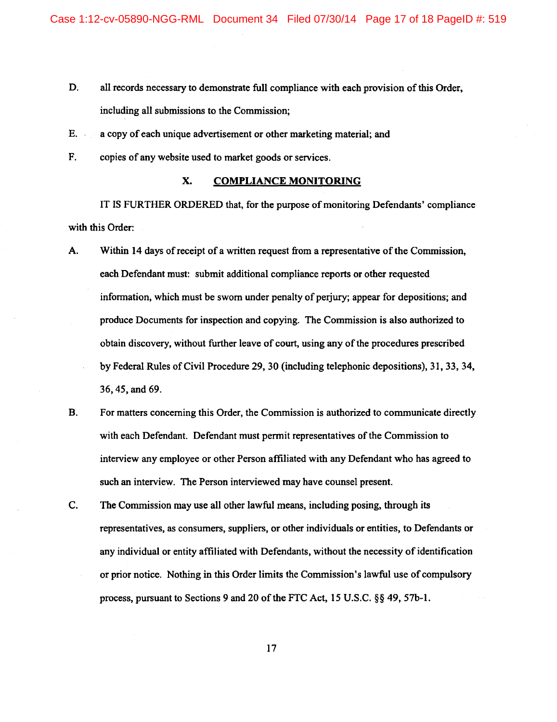- D. all records necessary to demonstrate full compliance with each provision of this Order, including all submissions to the Commission;
- E. a copy of each unique advertisement or other marketing material; and
- F. copies of any website used to market goods or services.

# X. COMPLIANCE MONITORING

IT IS FURTHER ORDERED that, for the purpose of monitoring Defendants' compliance with this Order:

- A. Within 14 days of receipt of a written request from a representative of the Commission, each Defendant must: submit additional compliance reports or other requested information, which must be sworn under penalty of perjury; appear for depositions; and produce Documents for inspection and copying. The Commission is also authorized to obtain discovery, without further leave of court, using any of the procedures prescribed by Federal Rules of Civil Procedure 29, 30 (including telephonic depositions), 31, 33, 34, 36, 45, and 69.
- B. For matters concerning this Order, the Commission is authorized to communicate directly with each Defendant. Defendant must permit representatives of the Commission to interview any employee or other Person affiliated with any Defendant who has agreed to such an interview. The Person interviewed may have counsel present.
- C. The Commission may use all other lawful means, including posing, through its representatives, as consumers, suppliers, or other individuals or entities, to Defendants or any individual or entity affiliated with Defendants, without the necessity of identification or prior notice. Nothing in this Order limits the Commission's lawful use of compulsory process, pursuant to Sections 9 and 20 of the FTC Act, 15 U.S.C. §§ 49, 57b-1.